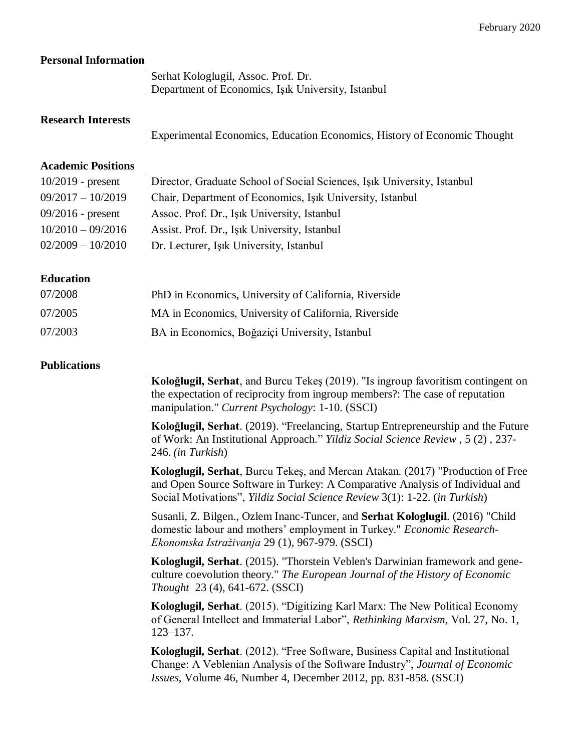### **Personal Information**

Serhat Kologlugil, Assoc. Prof. Dr. Department of Economics, Işık University, Istanbul

#### **Research Interests**

Experimental Economics, Education Economics, History of Economic Thought

#### **Academic Positions**

| $10/2019$ - present | Director, Graduate School of Social Sciences, Isik University, Istanbul |
|---------------------|-------------------------------------------------------------------------|
| $09/2017 - 10/2019$ | Chair, Department of Economics, Isik University, Istanbul               |
| $09/2016$ - present | Assoc. Prof. Dr., Işık University, Istanbul                             |
| $10/2010 - 09/2016$ | Assist. Prof. Dr., Işık University, Istanbul                            |
| $02/2009 - 10/2010$ | Dr. Lecturer, Işık University, Istanbul                                 |

# **Education**

| 07/2008 | <b>PhD</b> in Economics, University of California, Riverside |
|---------|--------------------------------------------------------------|
| 07/2005 | MA in Economics, University of California, Riverside         |
| 07/2003 | BA in Economics, Boğaziçi University, Istanbul               |

### **Publications**

**Koloğlugil, Serhat**, and Burcu Tekeş (2019). "Is ingroup favoritism contingent on the expectation of reciprocity from ingroup members?: The case of reputation manipulation." *Current Psychology*: 1-10. (SSCI)

**Koloğlugil, Serhat**. (2019). "Freelancing, Startup Entrepreneurship and the Future of Work: An Institutional Approach." *Yildiz Social Science Review* , 5 (2) , 237- 246. *(in Turkish*)

**Kologlugil, Serhat**, Burcu Tekeş, and Mercan Atakan. (2017) "Production of Free and Open Source Software in Turkey: A Comparative Analysis of Individual and Social Motivations", *Yildiz Social Science Review* 3(1): 1-22. (*in Turkish*)

Susanli, Z. Bilgen., Ozlem Inanc-Tuncer, and **Serhat Kologlugil**. (2016) "Child domestic labour and mothers' employment in Turkey." *Economic Research-Ekonomska Istraživanja* 29 (1), 967-979. (SSCI)

**Kologlugil, Serhat**. (2015). "Thorstein Veblen's Darwinian framework and geneculture coevolution theory." *The European Journal of the History of Economic Thought* 23 (4), 641-672. (SSCI)

**Kologlugil, Serhat**. (2015). "Digitizing Karl Marx: The New Political Economy of General Intellect and Immaterial Labor", *Rethinking Marxism*, Vol. 27, No. 1, 123–137.

**Kologlugil, Serhat**. (2012). "Free Software, Business Capital and Institutional Change: A Veblenian Analysis of the Software Industry", *Journal of Economic Issues*, Volume 46, Number 4, December 2012, pp. 831-858. (SSCI)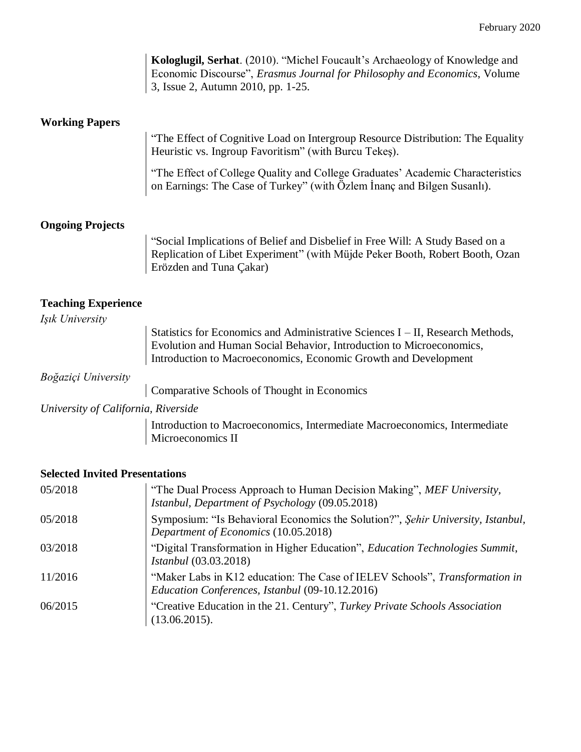|                                       | Kologlugil, Serhat. (2010). "Michel Foucault's Archaeology of Knowledge and<br>Economic Discourse", Erasmus Journal for Philosophy and Economics, Volume<br>3, Issue 2, Autumn 2010, pp. 1-25.                            |
|---------------------------------------|---------------------------------------------------------------------------------------------------------------------------------------------------------------------------------------------------------------------------|
| <b>Working Papers</b>                 |                                                                                                                                                                                                                           |
|                                       | "The Effect of Cognitive Load on Intergroup Resource Distribution: The Equality<br>Heuristic vs. Ingroup Favoritism" (with Burcu Tekes).                                                                                  |
|                                       | "The Effect of College Quality and College Graduates' Academic Characteristics<br>on Earnings: The Case of Turkey" (with Özlem Inanç and Bilgen Susanlı).                                                                 |
| <b>Ongoing Projects</b>               |                                                                                                                                                                                                                           |
|                                       | "Social Implications of Belief and Disbelief in Free Will: A Study Based on a<br>Replication of Libet Experiment" (with Müjde Peker Booth, Robert Booth, Ozan<br>Erözden and Tuna Çakar)                                  |
| <b>Teaching Experience</b>            |                                                                                                                                                                                                                           |
| Işık University                       |                                                                                                                                                                                                                           |
|                                       | Statistics for Economics and Administrative Sciences I – II, Research Methods,<br>Evolution and Human Social Behavior, Introduction to Microeconomics,<br>Introduction to Macroeconomics, Economic Growth and Development |
| Boğaziçi University                   |                                                                                                                                                                                                                           |
|                                       | Comparative Schools of Thought in Economics                                                                                                                                                                               |
| University of California, Riverside   |                                                                                                                                                                                                                           |
|                                       | Introduction to Macroeconomics, Intermediate Macroeconomics, Intermediate<br>Microeconomics II                                                                                                                            |
| <b>Selected Invited Presentations</b> |                                                                                                                                                                                                                           |

| 05/2018 | "The Dual Process Approach to Human Decision Making", MEF University,<br>Istanbul, Department of Psychology (09.05.2018)       |
|---------|--------------------------------------------------------------------------------------------------------------------------------|
| 05/2018 | Symposium: "Is Behavioral Economics the Solution?", Sehir University, Istanbul,<br>Department of Economics (10.05.2018)        |
| 03/2018 | "Digital Transformation in Higher Education", Education Technologies Summit,<br><i>Istanbul</i> (03.03.2018)                   |
| 11/2016 | "Maker Labs in K12 education: The Case of IELEV Schools", Transformation in<br>Education Conferences, Istanbul (09-10.12.2016) |
| 06/2015 | "Creative Education in the 21. Century", Turkey Private Schools Association<br>(13.06.2015).                                   |